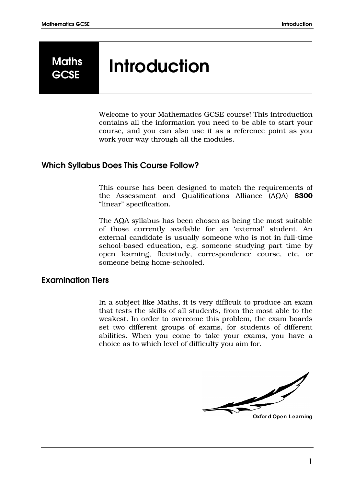# **Maths**

# Maths Introduction

Welcome to your Mathematics GCSE course! This introduction contains all the information you need to be able to start your course, and you can also use it as a reference point as you work your way through all the modules.

# Which Syllabus Does This Course Follow?

This course has been designed to match the requirements of the Assessment and Qualifications Alliance (AQA) 8300 "linear" specification.

The AQA syllabus has been chosen as being the most suitable of those currently available for an 'external' student. An external candidate is usually someone who is not in full-time school-based education, e.g. someone studying part time by open learning, flexistudy, correspondence course, etc, or someone being home-schooled.

# Examination Tiers

In a subject like Maths, it is very difficult to produce an exam that tests the skills of all students, from the most able to the weakest. In order to overcome this problem, the exam boards set two different groups of exams, for students of different abilities. When you come to take your exams, you have a choice as to which level of difficulty you aim for.

**Oxfor d Open Learning**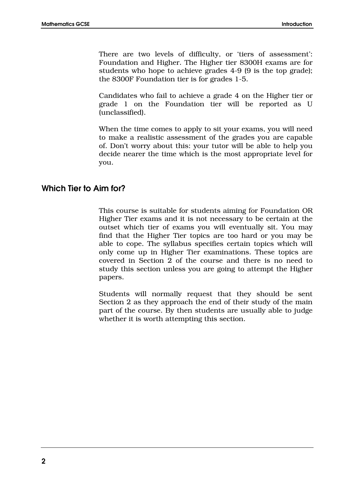There are two levels of difficulty, or 'tiers of assessment': Foundation and Higher. The Higher tier 8300H exams are for students who hope to achieve grades 4-9 (9 is the top grade); the 8300F Foundation tier is for grades 1-5.

Candidates who fail to achieve a grade 4 on the Higher tier or grade 1 on the Foundation tier will be reported as U (unclassified).

When the time comes to apply to sit your exams, you will need to make a realistic assessment of the grades you are capable of. Don't worry about this: your tutor will be able to help you decide nearer the time which is the most appropriate level for you.

# Which Tier to Aim for?

This course is suitable for students aiming for Foundation OR Higher Tier exams and it is not necessary to be certain at the outset which tier of exams you will eventually sit. You may find that the Higher Tier topics are too hard or you may be able to cope. The syllabus specifies certain topics which will only come up in Higher Tier examinations. These topics are covered in Section 2 of the course and there is no need to study this section unless you are going to attempt the Higher papers.

Students will normally request that they should be sent Section 2 as they approach the end of their study of the main part of the course. By then students are usually able to judge whether it is worth attempting this section.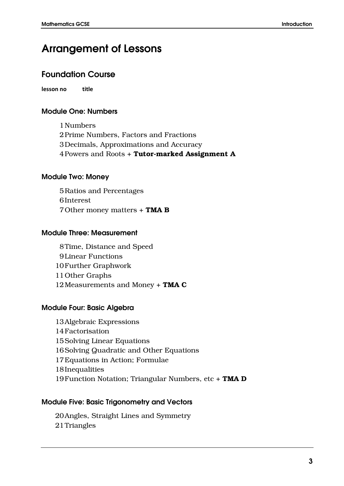# Arrangement of Lessons

# Foundation Course

**lesson no title**

# Module One: Numbers

1Numbers 2Prime Numbers, Factors and Fractions 3Decimals, Approximations and Accuracy 4 Powers and Roots + Tutor-marked Assignment A

# Module Two: Money

5Ratios and Percentages 6Interest 7Other money matters + TMA B

# Module Three: Measurement

8Time, Distance and Speed 9Linear Functions 10Further Graphwork 11Other Graphs 12 Measurements and Money + TMA C

# Module Four: Basic Algebra

13Algebraic Expressions 14Factorisation 15Solving Linear Equations 16Solving Quadratic and Other Equations 17Equations in Action; Formulae 18Inequalities 19 Function Notation; Triangular Numbers, etc + TMA D

#### Module Five: Basic Trigonometry and Vectors

20Angles, Straight Lines and Symmetry 21Triangles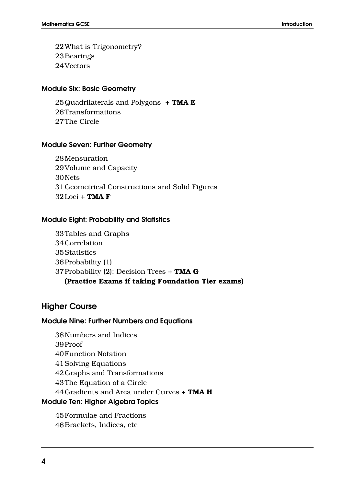22What is Trigonometry? 23Bearings 24Vectors

# Module Six: Basic Geometry

25 Quadrilaterals and Polygons  $+$  TMA E 26Transformations 27The Circle

#### Module Seven: Further Geometry

28Mensuration 29Volume and Capacity 30Nets 31Geometrical Constructions and Solid Figures  $32$ Loci + TMA F

#### Module Eight: Probability and Statistics

33Tables and Graphs 34Correlation 35Statistics 36Probability (1) 37 Probability (2): Decision Trees  $+$  TMA G (Practice Exams if taking Foundation Tier exams)

# Higher Course

#### Module Nine: Further Numbers and Equations

38Numbers and Indices 39Proof 40Function Notation 41Solving Equations 42Graphs and Transformations 43The Equation of a Circle 44 Gradients and Area under Curves + TMA H Module Ten: Higher Algebra Topics

45Formulae and Fractions 46Brackets, Indices, etc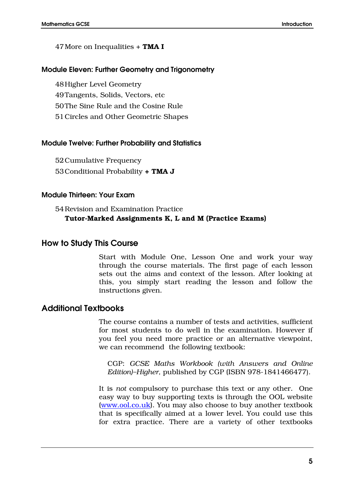#### 47 More on Inequalities + TMA I

#### Module Eleven: Further Geometry and Trigonometry

48Higher Level Geometry 49Tangents, Solids, Vectors, etc 50The Sine Rule and the Cosine Rule 51Circles and Other Geometric Shapes

#### Module Twelve: Further Probability and Statistics

52Cumulative Frequency 53Conditional Probability + TMA J

#### Module Thirteen: Your Exam

# 54Revision and Examination Practice Tutor-Marked Assignments K, L and M (Practice Exams)

# How to Study This Course

Start with Module One, Lesson One and work your way through the course materials. The first page of each lesson sets out the aims and context of the lesson. After looking at this, you simply start reading the lesson and follow the instructions given.

# Additional Textbooks

The course contains a number of tests and activities, sufficient for most students to do well in the examination. However if you feel you need more practice or an alternative viewpoint, we can recommend the following textbook:

CGP: *GCSE Maths Workbook (with Answers and Online Edition)–Higher,* published by CGP (ISBN 978-1841466477).

It is *not* compulsory to purchase this text or any other. One easy way to buy supporting texts is through the OOL website [\(www.ool.co.uk\)](http://www.ool.co.uk/). You may also choose to buy another textbook that is specifically aimed at a lower level. You could use this for extra practice. There are a variety of other textbooks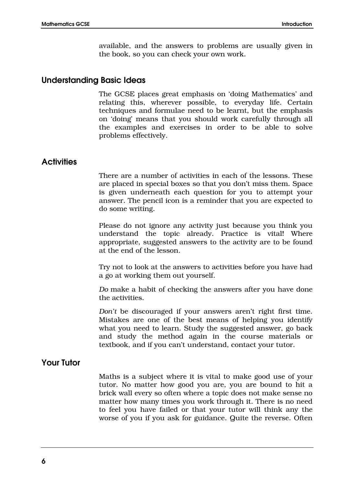available, and the answers to problems are usually given in the book, so you can check your own work.

# Understanding Basic Ideas

The GCSE places great emphasis on 'doing Mathematics' and relating this, wherever possible, to everyday life. Certain techniques and formulae need to be learnt, but the emphasis on 'doing' means that you should work carefully through all the examples and exercises in order to be able to solve problems effectively.

# **Activities**

There are a number of activities in each of the lessons. These are placed in special boxes so that you don't miss them. Space is given underneath each question for you to attempt your answer. The pencil icon is a reminder that you are expected to do some writing.

Please do not ignore any activity just because you think you understand the topic already. Practice is vital! Where appropriate, suggested answers to the activity are to be found at the end of the lesson.

Try not to look at the answers to activities before you have had a go at working them out yourself.

*Do* make a habit of checking the answers after you have done the activities.

*Don't* be discouraged if your answers aren't right first time. Mistakes are one of the best means of helping you identify what you need to learn. Study the suggested answer, go back and study the method again in the course materials or textbook, and if you can't understand, contact your tutor.

# Your Tutor

Maths is a subject where it is vital to make good use of your tutor. No matter how good you are, you are bound to hit a brick wall every so often where a topic does not make sense no matter how many times you work through it. There is no need to feel you have failed or that your tutor will think any the worse of you if you ask for guidance. Quite the reverse. Often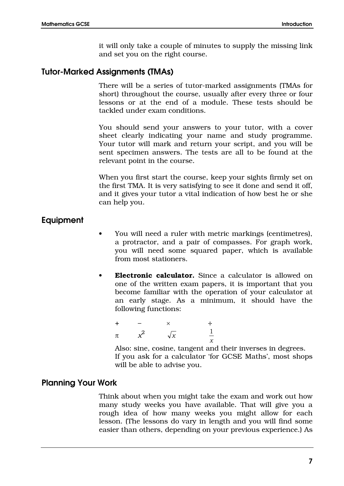it will only take a couple of minutes to supply the missing link and set you on the right course.

# Tutor-Marked Assignments (TMAs)

There will be a series of tutor-marked assignments (TMAs for short) throughout the course, usually after every three or four lessons or at the end of a module. These tests should be tackled under exam conditions.

You should send your answers to your tutor, with a cover sheet clearly indicating your name and study programme. Your tutor will mark and return your script, and you will be sent specimen answers. The tests are all to be found at the relevant point in the course.

When you first start the course, keep your sights firmly set on the first TMA. It is very satisfying to see it done and send it off, and it gives your tutor a vital indication of how best he or she can help you.

# Equipment

- You will need a ruler with metric markings (centimetres), a protractor, and a pair of compasses. For graph work, you will need some squared paper, which is available from most stationers.
- Electronic calculator. Since a calculator is allowed on one of the written exam papers, it is important that you become familiar with the operation of your calculator at an early stage. As a minimum, it should have the following functions:

$$
\begin{array}{ccc}\n+ & - & \times & \div \\
\pi & x^2 & \sqrt{x} & \frac{1}{x}\n\end{array}
$$

Also: sine, cosine, tangent and their inverses in degrees. If you ask for a calculator 'for GCSE Maths', most shops will be able to advise you.

# Planning Your Work

Think about when you might take the exam and work out how many study weeks you have available. That will give you a rough idea of how many weeks you might allow for each lesson. (The lessons do vary in length and you will find some easier than others, depending on your previous experience.) As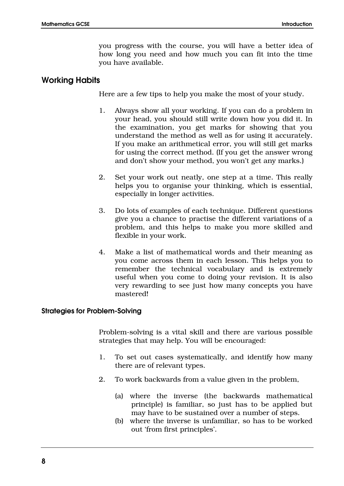you progress with the course, you will have a better idea of how long you need and how much you can fit into the time you have available.

# Working Habits

Here are a few tips to help you make the most of your study.

- 1. Always show all your working. If you can do a problem in your head, you should still write down how you did it. In the examination, you get marks for showing that you understand the method as well as for using it accurately. If you make an arithmetical error, you will still get marks for using the correct method. (If you get the answer wrong and don't show your method, you won't get any marks.)
- 2. Set your work out neatly, one step at a time. This really helps you to organise your thinking, which is essential, especially in longer activities.
- 3. Do lots of examples of each technique. Different questions give you a chance to practise the different variations of a problem, and this helps to make you more skilled and flexible in your work.
- 4. Make a list of mathematical words and their meaning as you come across them in each lesson. This helps you to remember the technical vocabulary and is extremely useful when you come to doing your revision. It is also very rewarding to see just how many concepts you have mastered!

#### Strategies for Problem-Solving

Problem-solving is a vital skill and there are various possible strategies that may help. You will be encouraged:

- 1. To set out cases systematically, and identify how many there are of relevant types.
- 2. To work backwards from a value given in the problem,
	- (a) where the inverse (the backwards mathematical principle) is familiar, so just has to be applied but may have to be sustained over a number of steps.
	- (b) where the inverse is unfamiliar, so has to be worked out 'from first principles'.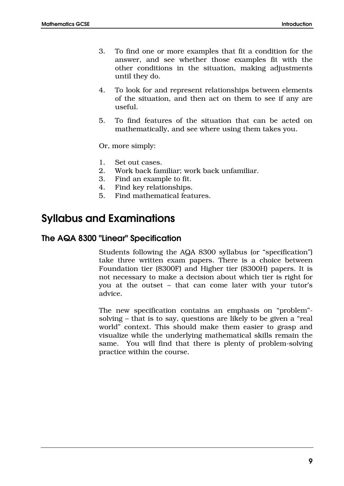- 3. To find one or more examples that fit a condition for the answer, and see whether those examples fit with the other conditions in the situation, making adjustments until they do.
- 4. To look for and represent relationships between elements of the situation, and then act on them to see if any are useful.
- 5. To find features of the situation that can be acted on mathematically, and see where using them takes you.

Or, more simply:

- 1. Set out cases.
- 2. Work back familiar; work back unfamiliar.
- 3. Find an example to fit.
- 4. Find key relationships.
- 5. Find mathematical features.

# Syllabus and Examinations

# The AQA 8300 "Linear" Specification

Students following the AQA 8300 syllabus (or "specification") take three written exam papers. There is a choice between Foundation tier (8300F) and Higher tier (8300H) papers. It is not necessary to make a decision about which tier is right for you at the outset – that can come later with your tutor's advice.

The new specification contains an emphasis on "problem" solving – that is to say, questions are likely to be given a "real world" context. This should make them easier to grasp and visualize while the underlying mathematical skills remain the same. You will find that there is plenty of problem-solving practice within the course.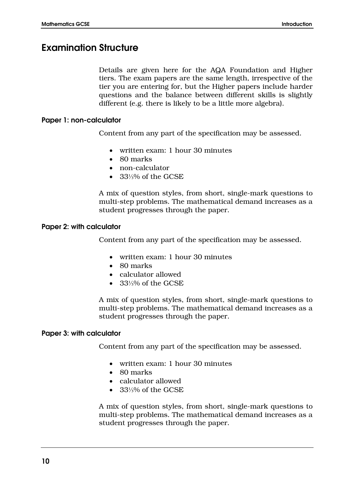# Examination Structure

Details are given here for the AQA Foundation and Higher tiers. The exam papers are the same length, irrespective of the tier you are entering for, but the Higher papers include harder questions and the balance between different skills is slightly different (e.g. there is likely to be a little more algebra).

# Paper 1: non-calculator

Content from any part of the specification may be assessed.

- written exam: 1 hour 30 minutes
- 80 marks
- non-calculator
- 33⅓% of the GCSE

A mix of question styles, from short, single-mark questions to multi-step problems. The mathematical demand increases as a student progresses through the paper.

#### Paper 2: with calculator

Content from any part of the specification may be assessed.

- written exam: 1 hour 30 minutes
- 80 marks
- calculator allowed
- 33⅓% of the GCSE

A mix of question styles, from short, single-mark questions to multi-step problems. The mathematical demand increases as a student progresses through the paper.

#### Paper 3: with calculator

Content from any part of the specification may be assessed.

- written exam: 1 hour 30 minutes
- 80 marks
- calculator allowed
- 33⅓% of the GCSE

A mix of question styles, from short, single-mark questions to multi-step problems. The mathematical demand increases as a student progresses through the paper.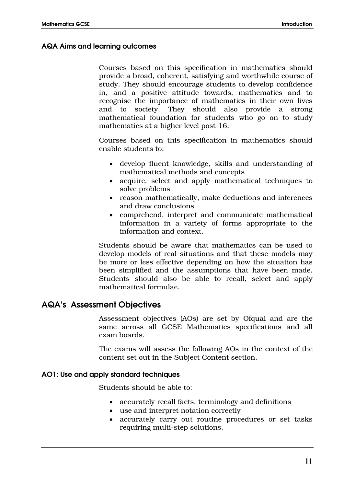## AQA Aims and learning outcomes

Courses based on this specification in mathematics should provide a broad, coherent, satisfying and worthwhile course of study. They should encourage students to develop confidence in, and a positive attitude towards, mathematics and to recognise the importance of mathematics in their own lives and to society. They should also provide a strong mathematical foundation for students who go on to study mathematics at a higher level post-16.

Courses based on this specification in mathematics should enable students to:

- develop fluent knowledge, skills and understanding of mathematical methods and concepts
- acquire, select and apply mathematical techniques to solve problems
- reason mathematically, make deductions and inferences and draw conclusions
- comprehend, interpret and communicate mathematical information in a variety of forms appropriate to the information and context.

Students should be aware that mathematics can be used to develop models of real situations and that these models may be more or less effective depending on how the situation has been simplified and the assumptions that have been made. Students should also be able to recall, select and apply mathematical formulae.

# AQA's Assessment Objectives

Assessment objectives (AOs) are set by Ofqual and are the same across all GCSE Mathematics specifications and all exam boards.

The exams will assess the following AOs in the context of the content set out in the Subject Content section.

#### AO1: Use and apply standard techniques

Students should be able to:

- accurately recall facts, terminology and definitions
- use and interpret notation correctly
- accurately carry out routine procedures or set tasks requiring multi-step solutions.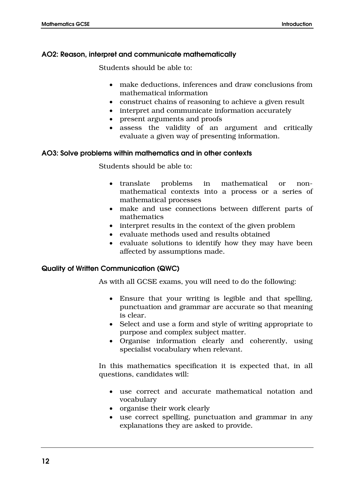# AO2: Reason, interpret and communicate mathematically

Students should be able to:

- make deductions, inferences and draw conclusions from mathematical information
- construct chains of reasoning to achieve a given result
- interpret and communicate information accurately
- present arguments and proofs
- assess the validity of an argument and critically evaluate a given way of presenting information.

# AO3: Solve problems within mathematics and in other contexts

Students should be able to:

- translate problems in mathematical or nonmathematical contexts into a process or a series of mathematical processes
- make and use connections between different parts of mathematics
- interpret results in the context of the given problem
- evaluate methods used and results obtained
- evaluate solutions to identify how they may have been affected by assumptions made.

# Quality of Written Communication (QWC)

As with all GCSE exams, you will need to do the following:

- Ensure that your writing is legible and that spelling, punctuation and grammar are accurate so that meaning is clear.
- Select and use a form and style of writing appropriate to purpose and complex subject matter.
- Organise information clearly and coherently, using specialist vocabulary when relevant.

In this mathematics specification it is expected that, in all questions, candidates will:

- use correct and accurate mathematical notation and vocabulary
- organise their work clearly
- use correct spelling, punctuation and grammar in any explanations they are asked to provide.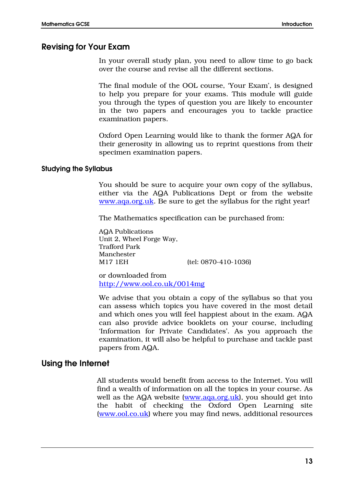# Revising for Your Exam

In your overall study plan, you need to allow time to go back over the course and revise all the different sections.

The final module of the OOL course, 'Your Exam', is designed to help you prepare for your exams. This module will guide you through the types of question you are likely to encounter in the two papers and encourages you to tackle practice examination papers.

Oxford Open Learning would like to thank the former AQA for their generosity in allowing us to reprint questions from their specimen examination papers.

#### Studying the Syllabus

You should be sure to acquire your own copy of the syllabus, either via the AQA Publications Dept or from the website [www.aqa.org.uk.](http://www.aqa.org.uk/) Be sure to get the syllabus for the right year!

The Mathematics specification can be purchased from:

AQA Publications Unit 2, Wheel Forge Way, Trafford Park Manchester M17 1EH (tel: 0870-410-1036)

or downloaded from <http://www.ool.co.uk/0014mg>

We advise that you obtain a copy of the syllabus so that you can assess which topics you have covered in the most detail and which ones you will feel happiest about in the exam. AQA can also provide advice booklets on your course, including 'Information for Private Candidates'. As you approach the examination, it will also be helpful to purchase and tackle past papers from AQA.

# Using the Internet

All students would benefit from access to the Internet. You will find a wealth of information on all the topics in your course. As well as the AQA website [\(www.aqa.org.uk\)](http://www.aqa.org.uk/), you should get into the habit of checking the Oxford Open Learning site [\(www.ool.co.uk\)](http://www.ool.co.uk/) where you may find news, additional resources